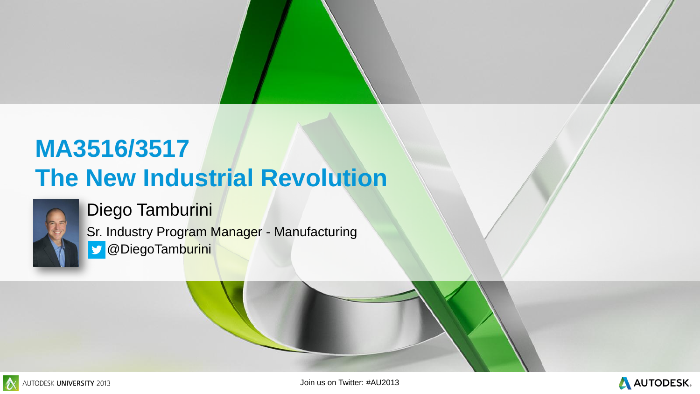



## **MA3516/3517 The New Industrial Revolution**



Diego Tamburini

Sr. Industry Program Manager - Manufacturing **S** @DiegoTamburini

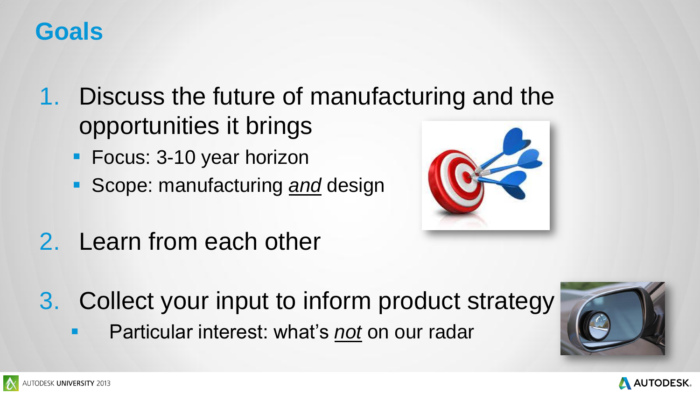- 1. Discuss the future of manufacturing and the opportunities it brings
	- **Focus: 3-10 year horizon**
	- Scope: manufacturing *and* design

- 2. Learn from each other
- 3. Collect your input to inform product strategy **Particular interest: what's not on our radar**







## **Goals**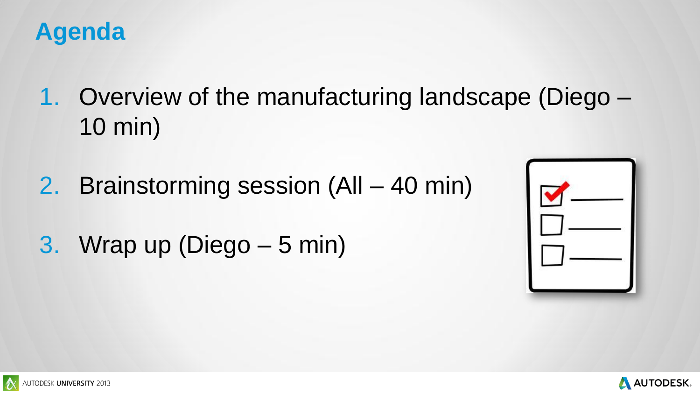- 1. Overview of the manufacturing landscape (Diego 10 min)
- 2. Brainstorming session (All 40 min)
- 3. Wrap up (Diego 5 min)







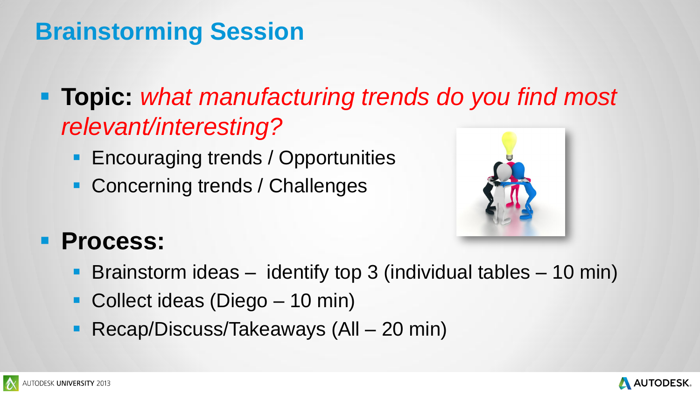- **Topic:** *what manufacturing trends do you find most relevant/interesting?*
	- **Encouraging trends / Opportunities**
	- **Concerning trends / Challenges**



## **Process:**

- Brainstorm ideas identify top 3 (individual tables 10 min)
- Collect ideas (Diego 10 min)
- Recap/Discuss/Takeaways (All 20 min)



# **Brainstorming Session**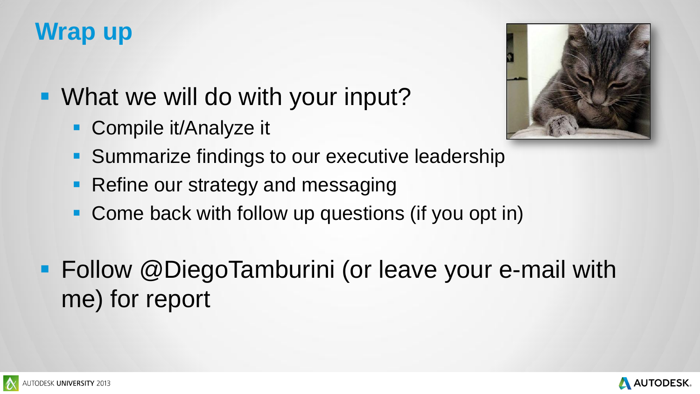- Compile it/Analyze it
- Summarize findings to our executive leadership
- Refine our strategy and messaging
- Come back with follow up questions (if you opt in)

# **Follow @DiegoTamburini (or leave your e-mail with** me) for report







## **Wrap up**

## ■ What we will do with your input?